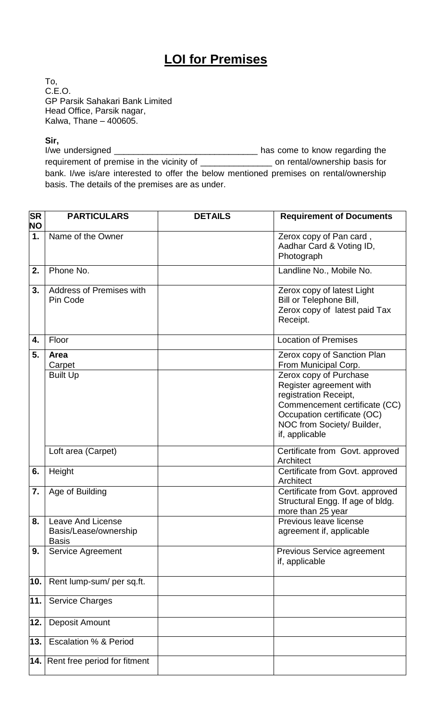## **LOI for Premises**

To, C.E.O. GP Parsik Sahakari Bank Limited Head Office, Parsik nagar, Kalwa, Thane – 400605.

**Sir,**<br>I/we undersigned \_\_\_\_\_\_\_\_ I/we undersigned \_\_\_\_\_\_\_\_\_\_\_\_\_\_\_\_\_\_\_\_\_\_\_\_\_\_\_\_\_\_ has come to know regarding the requirement of premise in the vicinity of \_\_\_\_\_\_\_\_\_\_\_\_\_\_\_ on rental/ownership basis for bank. I/we is/are interested to offer the below mentioned premises on rental/ownership basis. The details of the premises are as under.

| <b>SR</b><br><b>NO</b> | <b>PARTICULARS</b>                                                | <b>DETAILS</b> | <b>Requirement of Documents</b>                                                                                                   |
|------------------------|-------------------------------------------------------------------|----------------|-----------------------------------------------------------------------------------------------------------------------------------|
| 1.                     | Name of the Owner                                                 |                | Zerox copy of Pan card,<br>Aadhar Card & Voting ID,<br>Photograph                                                                 |
| 2.                     | Phone No.                                                         |                | Landline No., Mobile No.                                                                                                          |
| 3.                     | Address of Premises with<br>Pin Code                              |                | Zerox copy of latest Light<br>Bill or Telephone Bill,<br>Zerox copy of latest paid Tax<br>Receipt.                                |
| 4.                     | Floor                                                             |                | <b>Location of Premises</b>                                                                                                       |
| 5.                     | Area<br>Carpet<br><b>Built Up</b>                                 |                | Zerox copy of Sanction Plan<br>From Municipal Corp.<br>Zerox copy of Purchase<br>Register agreement with<br>registration Receipt, |
|                        |                                                                   |                | Commencement certificate (CC)<br>Occupation certificate (OC)<br>NOC from Society/ Builder,<br>if, applicable                      |
|                        | Loft area (Carpet)                                                |                | Certificate from Govt. approved<br>Architect                                                                                      |
| 6.                     | Height                                                            |                | Certificate from Govt. approved<br>Architect                                                                                      |
| 7.                     | Age of Building                                                   |                | Certificate from Govt. approved<br>Structural Engg. If age of bldg.<br>more than 25 year                                          |
| 8.                     | <b>Leave And License</b><br>Basis/Lease/ownership<br><b>Basis</b> |                | Previous leave license<br>agreement if, applicable                                                                                |
| 9.                     | <b>Service Agreement</b>                                          |                | <b>Previous Service agreement</b><br>if, applicable                                                                               |
| 10.                    | Rent lump-sum/ per sq.ft.                                         |                |                                                                                                                                   |
| 11.                    | <b>Service Charges</b>                                            |                |                                                                                                                                   |
| 12.                    | Deposit Amount                                                    |                |                                                                                                                                   |
| 13.                    | <b>Escalation % &amp; Period</b>                                  |                |                                                                                                                                   |
|                        | 14. Rent free period for fitment                                  |                |                                                                                                                                   |